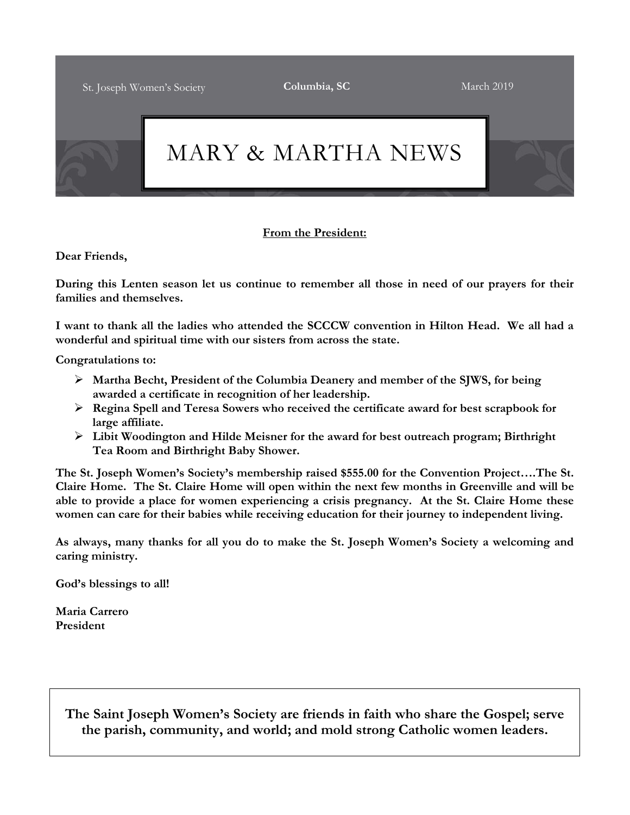St. Joseph Women's Society **Columbia, SC** March 2019



## **From the President:**

**Dear Friends,**

**During this Lenten season let us continue to remember all those in need of our prayers for their families and themselves.**

**I want to thank all the ladies who attended the SCCCW convention in Hilton Head. We all had a wonderful and spiritual time with our sisters from across the state.** 

**Congratulations to:**

- ➢ **Martha Becht, President of the Columbia Deanery and member of the SJWS, for being awarded a certificate in recognition of her leadership.**
- ➢ **Regina Spell and Teresa Sowers who received the certificate award for best scrapbook for large affiliate.**
- ➢ **Libit Woodington and Hilde Meisner for the award for best outreach program; Birthright Tea Room and Birthright Baby Shower.**

**The St. Joseph Women's Society's membership raised \$555.00 for the Convention Project….The St. Claire Home. The St. Claire Home will open within the next few months in Greenville and will be able to provide a place for women experiencing a crisis pregnancy. At the St. Claire Home these women can care for their babies while receiving education for their journey to independent living.**

**As always, many thanks for all you do to make the St. Joseph Women's Society a welcoming and caring ministry.**

**God's blessings to all!**

**Maria Carrero President**

> **The Saint Joseph Women's Society are friends in faith who share the Gospel; serve the parish, community, and world; and mold strong Catholic women leaders.**